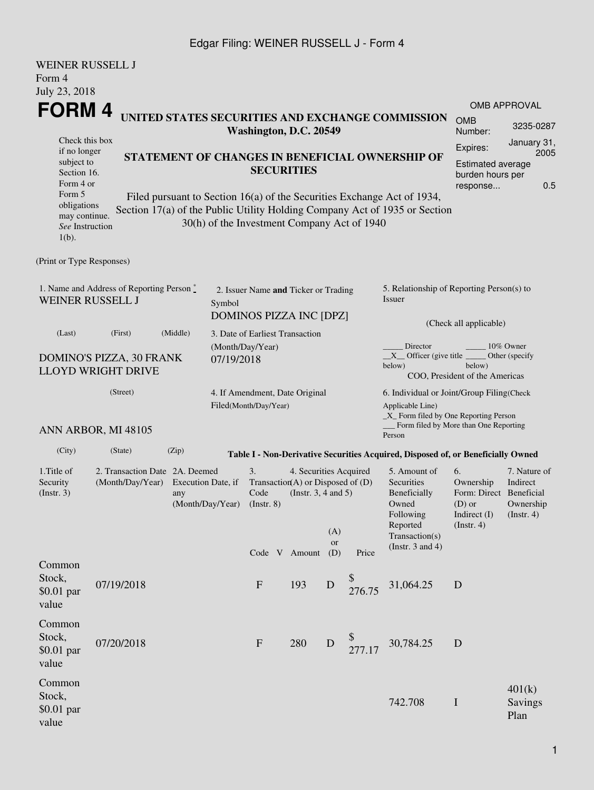### Edgar Filing: WEINER RUSSELL J - Form 4

| <b>WEINER RUSSELL J</b><br>Form 4<br>July 23, 2018                                       |                     |                                                                                                                                                 |        |                                                                        |                                                                                         |                  |                       |                                                                                                                                                   |                                                                                              |                                                                            |  |  |
|------------------------------------------------------------------------------------------|---------------------|-------------------------------------------------------------------------------------------------------------------------------------------------|--------|------------------------------------------------------------------------|-----------------------------------------------------------------------------------------|------------------|-----------------------|---------------------------------------------------------------------------------------------------------------------------------------------------|----------------------------------------------------------------------------------------------|----------------------------------------------------------------------------|--|--|
| FORM 4                                                                                   |                     |                                                                                                                                                 |        |                                                                        |                                                                                         |                  |                       |                                                                                                                                                   |                                                                                              | <b>OMB APPROVAL</b>                                                        |  |  |
| UNITED STATES SECURITIES AND EXCHANGE COMMISSION<br>Washington, D.C. 20549               |                     |                                                                                                                                                 |        |                                                                        |                                                                                         |                  | <b>OMB</b><br>Number: | 3235-0287                                                                                                                                         |                                                                                              |                                                                            |  |  |
| Check this box<br>if no longer<br>subject to<br>Section 16.<br>Form 4 or<br>Form 5       |                     | STATEMENT OF CHANGES IN BENEFICIAL OWNERSHIP OF<br><b>SECURITIES</b><br>Filed pursuant to Section 16(a) of the Securities Exchange Act of 1934, |        |                                                                        |                                                                                         |                  |                       |                                                                                                                                                   |                                                                                              | January 31,<br>2005<br><b>Estimated average</b><br>burden hours per<br>0.5 |  |  |
| obligations<br>may continue.<br>See Instruction<br>$1(b)$ .<br>(Print or Type Responses) |                     |                                                                                                                                                 |        | 30(h) of the Investment Company Act of 1940                            |                                                                                         |                  |                       | Section 17(a) of the Public Utility Holding Company Act of 1935 or Section                                                                        |                                                                                              |                                                                            |  |  |
|                                                                                          |                     |                                                                                                                                                 |        |                                                                        |                                                                                         |                  |                       |                                                                                                                                                   |                                                                                              |                                                                            |  |  |
| 1. Name and Address of Reporting Person*<br>WEINER RUSSELL J                             |                     |                                                                                                                                                 | Symbol | 2. Issuer Name and Ticker or Trading<br><b>DOMINOS PIZZA INC [DPZ]</b> |                                                                                         |                  |                       | 5. Relationship of Reporting Person(s) to<br>Issuer                                                                                               |                                                                                              |                                                                            |  |  |
| (Last)                                                                                   | (First)             | (Middle)<br>3. Date of Earliest Transaction                                                                                                     |        |                                                                        |                                                                                         |                  |                       | (Check all applicable)                                                                                                                            |                                                                                              |                                                                            |  |  |
| DOMINO'S PIZZA, 30 FRANK<br><b>LLOYD WRIGHT DRIVE</b>                                    |                     |                                                                                                                                                 |        | (Month/Day/Year)<br>07/19/2018                                         |                                                                                         |                  |                       | Director<br>10% Owner<br>$X$ Officer (give title $\overline{\phantom{a}}$<br>Other (specify<br>below)<br>below)<br>COO, President of the Americas |                                                                                              |                                                                            |  |  |
| (Street)                                                                                 |                     |                                                                                                                                                 |        | 4. If Amendment, Date Original                                         |                                                                                         |                  |                       | 6. Individual or Joint/Group Filing(Check                                                                                                         |                                                                                              |                                                                            |  |  |
|                                                                                          | ANN ARBOR, MI 48105 |                                                                                                                                                 |        | Filed(Month/Day/Year)                                                  |                                                                                         |                  |                       | Applicable Line)<br>$\_X$ Form filed by One Reporting Person<br>Form filed by More than One Reporting<br>Person                                   |                                                                                              |                                                                            |  |  |
| (City)                                                                                   | (State)             | (Zip)                                                                                                                                           |        |                                                                        |                                                                                         |                  |                       | Table I - Non-Derivative Securities Acquired, Disposed of, or Beneficially Owned                                                                  |                                                                                              |                                                                            |  |  |
| 1. Title of<br>Security<br>$($ Instr. 3 $)$                                              | (Month/Day/Year)    | 2. Transaction Date 2A. Deemed<br>Execution Date, if<br>any<br>(Month/Day/Year)                                                                 |        |                                                                        | 4. Securities Acquired<br>Transaction(A) or Disposed of (D)<br>(Instr. $3, 4$ and $5$ ) | (A)<br><b>or</b> |                       | 5. Amount of<br>Securities<br>Beneficially<br>Owned<br>Following<br>Reported<br>Transaction(s)                                                    | 6.<br>Ownership<br>Form: Direct Beneficial<br>$(D)$ or<br>Indirect $(I)$<br>$($ Instr. 4 $)$ | 7. Nature of<br>Indirect<br>Ownership<br>$($ Instr. 4 $)$                  |  |  |
|                                                                                          |                     |                                                                                                                                                 |        | Code V Amount                                                          |                                                                                         | (D)              | Price                 | (Instr. $3$ and $4$ )                                                                                                                             |                                                                                              |                                                                            |  |  |
| Common<br>Stock,<br>$$0.01$ par<br>value                                                 | 07/19/2018          |                                                                                                                                                 |        | $\mathbf{F}$                                                           | 193                                                                                     | D                | \$<br>276.75          | 31,064.25                                                                                                                                         | D                                                                                            |                                                                            |  |  |
| Common<br>Stock,<br>$$0.01$ par<br>value                                                 | 07/20/2018          |                                                                                                                                                 |        | $\mathbf{F}$                                                           | 280                                                                                     | $\mathbf D$      |                       | 30,784.25                                                                                                                                         | D                                                                                            |                                                                            |  |  |
| Common<br>Stock,<br>$$0.01$ par<br>value                                                 |                     |                                                                                                                                                 |        |                                                                        |                                                                                         |                  |                       | 742.708                                                                                                                                           | I                                                                                            | 401(k)<br><b>Savings</b><br>Plan                                           |  |  |